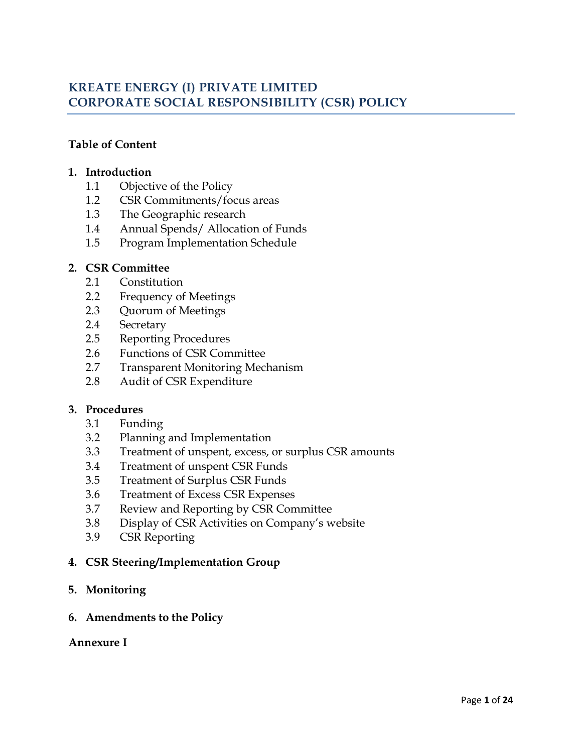# **KREATE ENERGY (I) PRIVATE LIMITED CORPORATE SOCIAL RESPONSIBILITY (CSR) POLICY**

## **Table of Content**

#### **1. Introduction**

- 1.1 Objective of the Policy
- 1.2 CSR Commitments/focus areas
- 1.3 The Geographic research
- 1.4 Annual Spends/ Allocation of Funds
- 1.5 Program Implementation Schedule

#### **2. CSR Committee**

- 2.1 Constitution
- 2.2 Frequency of Meetings
- 2.3 Quorum of Meetings
- 2.4 Secretary
- 2.5 Reporting Procedures
- 2.6 Functions of CSR Committee
- 2.7 Transparent Monitoring Mechanism
- 2.8 Audit of CSR Expenditure

#### **3. Procedures**

- 3.1 Funding
- 3.2 Planning and Implementation
- 3.3 Treatment of unspent, excess, or surplus CSR amounts
- 3.4 Treatment of unspent CSR Funds
- 3.5 Treatment of Surplus CSR Funds
- 3.6 Treatment of Excess CSR Expenses
- 3.7 Review and Reporting by CSR Committee
- 3.8 Display of CSR Activities on Company's website
- 3.9 CSR Reporting

## **4. CSR Steering/Implementation Group**

**5. Monitoring**

#### **6. Amendments to the Policy**

#### **Annexure I**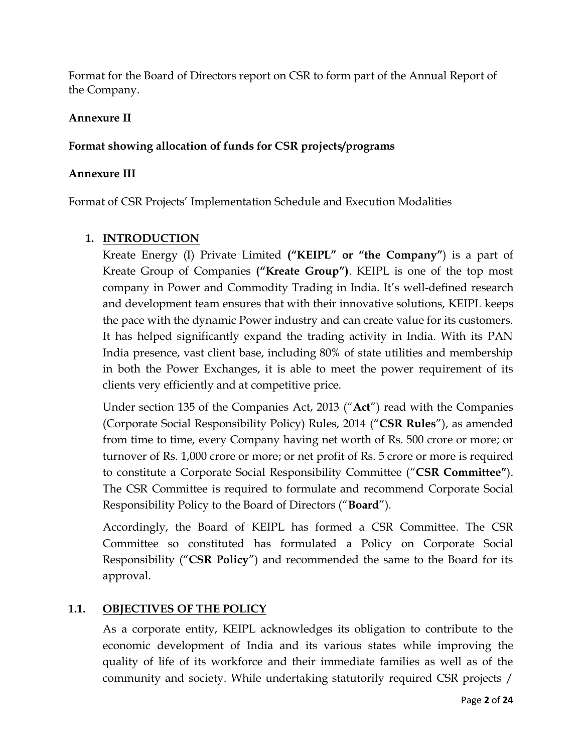Format for the Board of Directors report on CSR to form part of the Annual Report of the Company.

## **Annexure II**

## **Format showing allocation of funds for CSR projects/programs**

#### **Annexure III**

Format of CSR Projects' Implementation Schedule and Execution Modalities

## **1. INTRODUCTION**

Kreate Energy (I) Private Limited **("KEIPL" or "the Company"**) is a part of Kreate Group of Companies **("Kreate Group")**. KEIPL is one of the top most company in Power and Commodity Trading in India. It's well-defined research and development team ensures that with their innovative solutions, KEIPL keeps the pace with the dynamic Power industry and can create value for its customers. It has helped significantly expand the trading activity in India. With its PAN India presence, vast client base, including 80% of state utilities and membership in both the Power Exchanges, it is able to meet the power requirement of its clients very efficiently and at competitive price.

Under section 135 of the Companies Act, 2013 ("**Act**") read with the Companies (Corporate Social Responsibility Policy) Rules, 2014 ("**CSR Rules**"), as amended from time to time, every Company having net worth of Rs. 500 crore or more; or turnover of Rs. 1,000 crore or more; or net profit of Rs. 5 crore or more is required to constitute a Corporate Social Responsibility Committee ("**CSR Committee"**). The CSR Committee is required to formulate and recommend Corporate Social Responsibility Policy to the Board of Directors ("**Board**").

Accordingly, the Board of KEIPL has formed a CSR Committee. The CSR Committee so constituted has formulated a Policy on Corporate Social Responsibility ("**CSR Policy**") and recommended the same to the Board for its approval.

## **1.1. OBJECTIVES OF THE POLICY**

As a corporate entity, KEIPL acknowledges its obligation to contribute to the economic development of India and its various states while improving the quality of life of its workforce and their immediate families as well as of the community and society. While undertaking statutorily required CSR projects /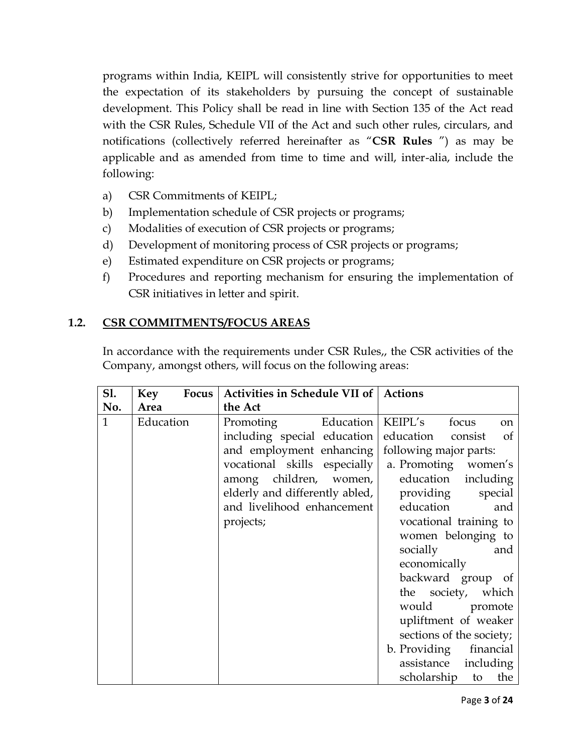programs within India, KEIPL will consistently strive for opportunities to meet the expectation of its stakeholders by pursuing the concept of sustainable development. This Policy shall be read in line with Section 135 of the Act read with the CSR Rules, Schedule VII of the Act and such other rules, circulars, and notifications (collectively referred hereinafter as "**CSR Rules** ") as may be applicable and as amended from time to time and will, inter-alia, include the following:

- a) CSR Commitments of KEIPL;
- b) Implementation schedule of CSR projects or programs;
- c) Modalities of execution of CSR projects or programs;
- d) Development of monitoring process of CSR projects or programs;
- e) Estimated expenditure on CSR projects or programs;
- f) Procedures and reporting mechanism for ensuring the implementation of CSR initiatives in letter and spirit.

## **1.2. CSR COMMITMENTS/FOCUS AREAS**

In accordance with the requirements under CSR Rules,, the CSR activities of the Company, amongst others, will focus on the following areas:

| S1.          | Key<br>Focus | Activities in Schedule VII of   Actions           |                                   |
|--------------|--------------|---------------------------------------------------|-----------------------------------|
| No.          | Area         | the Act                                           |                                   |
| $\mathbf{1}$ | Education    | Promoting<br>Education                            | KEIPL's<br>focus<br><sub>on</sub> |
|              |              | including special education education             | consist<br><sub>of</sub>          |
|              |              | and employment enhancing   following major parts: |                                   |
|              |              | vocational skills especially                      | a. Promoting women's              |
|              |              | among children, women,                            | education including               |
|              |              | elderly and differently abled,                    | providing<br>special              |
|              |              | and livelihood enhancement                        | education<br>and                  |
|              |              | projects;                                         | vocational training to            |
|              |              |                                                   | women belonging to                |
|              |              |                                                   | socially<br>and                   |
|              |              |                                                   | economically                      |
|              |              |                                                   | backward group of                 |
|              |              |                                                   | the society, which                |
|              |              |                                                   | would promote                     |
|              |              |                                                   | upliftment of weaker              |
|              |              |                                                   | sections of the society;          |
|              |              |                                                   | b. Providing financial            |
|              |              |                                                   | assistance including              |
|              |              |                                                   | scholarship to<br>the             |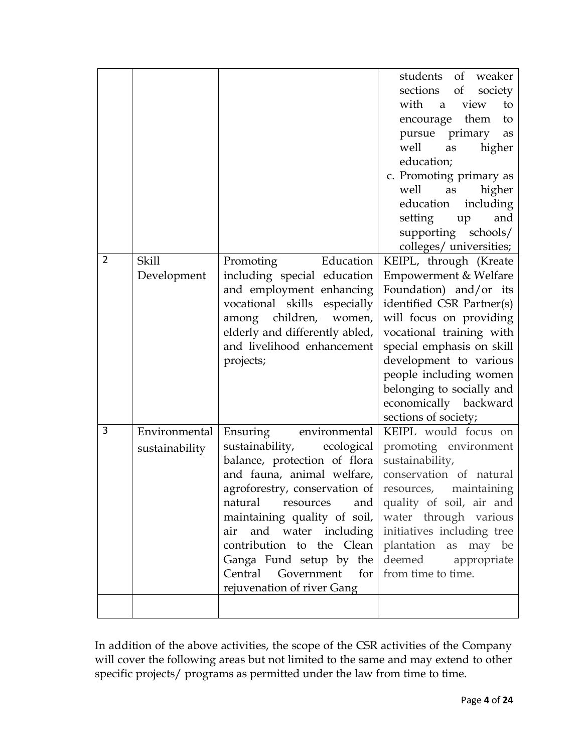|   |                                 |                                                                                                                                                                                                                                                                                                                                                                                                                                                                                                      | students of weaker<br>sections<br>$\sigma f$<br>society<br>with a view<br>to<br>encourage them<br>to<br>pursue primary<br>as<br>well<br>higher<br>as<br>education;<br>c. Promoting primary as<br>well<br>as<br>higher<br>education<br>including<br>setting up<br>and<br>supporting schools/<br>colleges/ universities;       |
|---|---------------------------------|------------------------------------------------------------------------------------------------------------------------------------------------------------------------------------------------------------------------------------------------------------------------------------------------------------------------------------------------------------------------------------------------------------------------------------------------------------------------------------------------------|------------------------------------------------------------------------------------------------------------------------------------------------------------------------------------------------------------------------------------------------------------------------------------------------------------------------------|
| 2 | <b>Skill</b><br>Development     | Promoting<br>Education<br>including special education<br>and employment enhancing<br>vocational skills especially<br>among children, women,<br>elderly and differently abled,<br>and livelihood enhancement<br>projects;                                                                                                                                                                                                                                                                             | KEIPL, through (Kreate<br>Empowerment & Welfare<br>Foundation) and/or its<br>identified CSR Partner(s)<br>will focus on providing<br>vocational training with<br>special emphasis on skill<br>development to various<br>people including women<br>belonging to socially and<br>economically backward<br>sections of society; |
| 3 | Environmental<br>sustainability | Ensuring<br>environmental<br>sustainability,<br>ecological<br>balance, protection of flora<br>and fauna, animal welfare,<br>agroforestry, conservation of<br>natural resources and quality of soil, air and<br>maintaining quality of soil, water through various<br>air and water including initiatives including tree<br>contribution to the Clean   plantation as may be<br>Ganga Fund setup by the deemed appropriate<br>Central Government for from time to time.<br>rejuvenation of river Gang | KEIPL would focus on<br>promoting environment<br>sustainability,<br>conservation of natural<br>resources, maintaining                                                                                                                                                                                                        |

In addition of the above activities, the scope of the CSR activities of the Company will cover the following areas but not limited to the same and may extend to other specific projects/ programs as permitted under the law from time to time.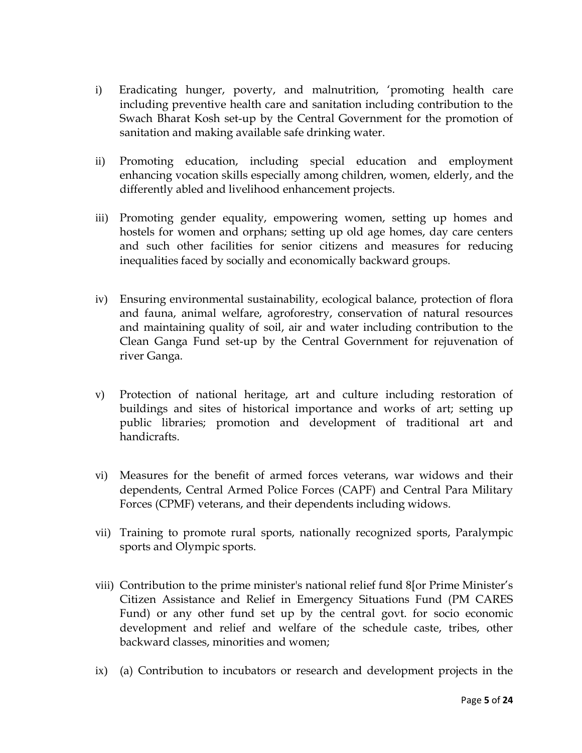- i) Eradicating hunger, poverty, and malnutrition, 'promoting health care including preventive health care and sanitation including contribution to the Swach Bharat Kosh set-up by the Central Government for the promotion of sanitation and making available safe drinking water.
- ii) Promoting education, including special education and employment enhancing vocation skills especially among children, women, elderly, and the differently abled and livelihood enhancement projects.
- iii) Promoting gender equality, empowering women, setting up homes and hostels for women and orphans; setting up old age homes, day care centers and such other facilities for senior citizens and measures for reducing inequalities faced by socially and economically backward groups.
- iv) Ensuring environmental sustainability, ecological balance, protection of flora and fauna, animal welfare, agroforestry, conservation of natural resources and maintaining quality of soil, air and water including contribution to the Clean Ganga Fund set-up by the Central Government for rejuvenation of river Ganga.
- v) Protection of national heritage, art and culture including restoration of buildings and sites of historical importance and works of art; setting up public libraries; promotion and development of traditional art and handicrafts.
- vi) Measures for the benefit of armed forces veterans, war widows and their dependents, Central Armed Police Forces (CAPF) and Central Para Military Forces (CPMF) veterans, and their dependents including widows.
- vii) Training to promote rural sports, nationally recognized sports, Paralympic sports and Olympic sports.
- viii) Contribution to the prime minister's national relief fund 8[or Prime Minister's Citizen Assistance and Relief in Emergency Situations Fund (PM CARES Fund) or any other fund set up by the central govt. for socio economic development and relief and welfare of the schedule caste, tribes, other backward classes, minorities and women;
- ix) (a) Contribution to incubators or research and development projects in the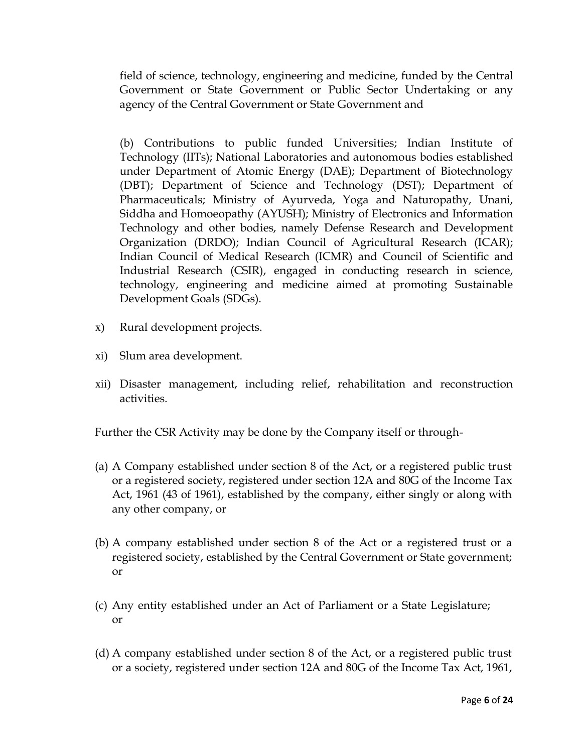field of science, technology, engineering and medicine, funded by the Central Government or State Government or Public Sector Undertaking or any agency of the Central Government or State Government and

(b) Contributions to public funded Universities; Indian Institute of Technology (IITs); National Laboratories and autonomous bodies established under Department of Atomic Energy (DAE); Department of Biotechnology (DBT); Department of Science and Technology (DST); Department of Pharmaceuticals; Ministry of Ayurveda, Yoga and Naturopathy, Unani, Siddha and Homoeopathy (AYUSH); Ministry of Electronics and Information Technology and other bodies, namely Defense Research and Development Organization (DRDO); Indian Council of Agricultural Research (ICAR); Indian Council of Medical Research (ICMR) and Council of Scientific and Industrial Research (CSIR), engaged in conducting research in science, technology, engineering and medicine aimed at promoting Sustainable Development Goals (SDGs).

- x) Rural development projects.
- xi) Slum area development.
- xii) Disaster management, including relief, rehabilitation and reconstruction activities.

Further the CSR Activity may be done by the Company itself or through-

- (a) A Company established under section 8 of the Act, or a registered public trust or a registered society, registered under section 12A and 80G of the Income Tax Act, 1961 (43 of 1961), established by the company, either singly or along with any other company, or
- (b) A company established under section 8 of the Act or a registered trust or a registered society, established by the Central Government or State government; or
- (c) Any entity established under an Act of Parliament or a State Legislature; or
- (d) A company established under section 8 of the Act, or a registered public trust or a society, registered under section 12A and 80G of the Income Tax Act, 1961,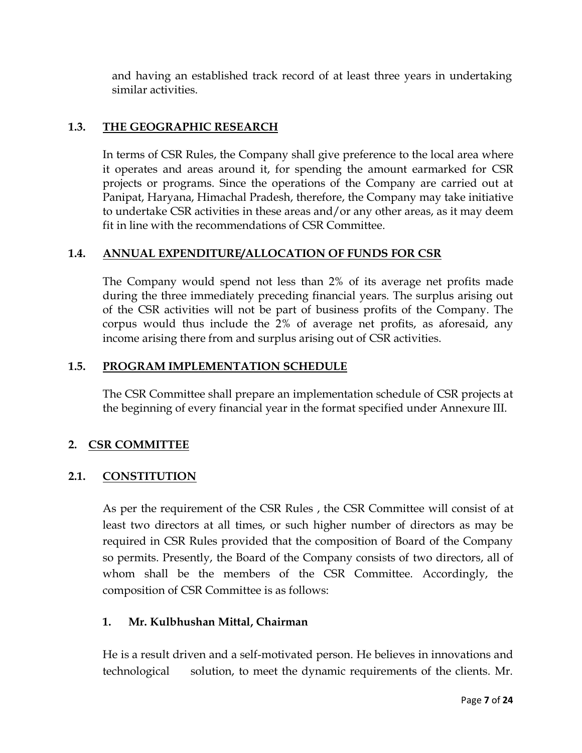and having an established track record of at least three years in undertaking similar activities.

## **1.3. THE GEOGRAPHIC RESEARCH**

In terms of CSR Rules, the Company shall give preference to the local area where it operates and areas around it, for spending the amount earmarked for CSR projects or programs. Since the operations of the Company are carried out at Panipat, Haryana, Himachal Pradesh, therefore, the Company may take initiative to undertake CSR activities in these areas and/or any other areas, as it may deem fit in line with the recommendations of CSR Committee.

## **1.4. ANNUAL EXPENDITURE/ALLOCATION OF FUNDS FOR CSR**

The Company would spend not less than 2% of its average net profits made during the three immediately preceding financial years. The surplus arising out of the CSR activities will not be part of business profits of the Company. The corpus would thus include the 2% of average net profits, as aforesaid, any income arising there from and surplus arising out of CSR activities.

## **1.5. PROGRAM IMPLEMENTATION SCHEDULE**

The CSR Committee shall prepare an implementation schedule of CSR projects at the beginning of every financial year in the format specified under Annexure III.

## **2. CSR COMMITTEE**

## **2.1. CONSTITUTION**

As per the requirement of the CSR Rules , the CSR Committee will consist of at least two directors at all times, or such higher number of directors as may be required in CSR Rules provided that the composition of Board of the Company so permits. Presently, the Board of the Company consists of two directors, all of whom shall be the members of the CSR Committee. Accordingly, the composition of CSR Committee is as follows:

## **1. Mr. Kulbhushan Mittal, Chairman**

He is a result driven and a self-motivated person. He believes in innovations and technological solution, to meet the dynamic requirements of the clients. Mr.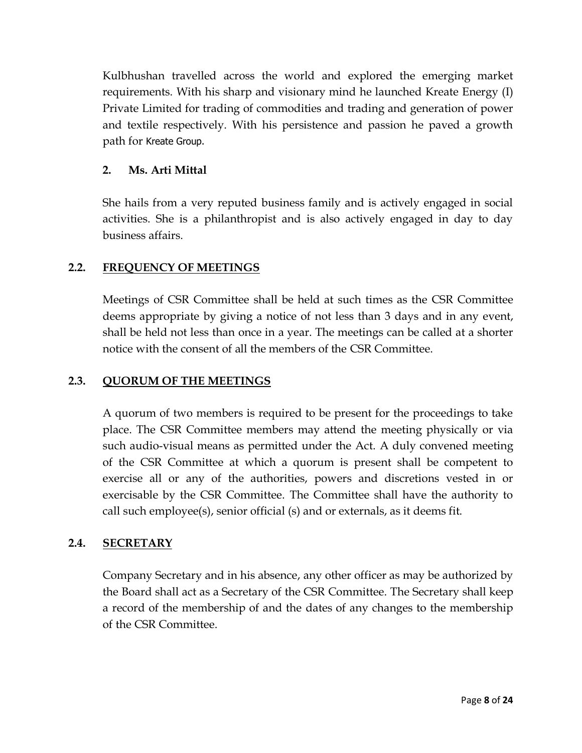Kulbhushan travelled across the world and explored the emerging market requirements. With his sharp and visionary mind he launched Kreate Energy (I) Private Limited for trading of commodities and trading and generation of power and textile respectively. With his persistence and passion he paved a growth path for Kreate Group.

## **2. Ms. Arti Mittal**

She hails from a very reputed business family and is actively engaged in social activities. She is a philanthropist and is also actively engaged in day to day business affairs.

## **2.2. FREQUENCY OF MEETINGS**

Meetings of CSR Committee shall be held at such times as the CSR Committee deems appropriate by giving a notice of not less than 3 days and in any event, shall be held not less than once in a year. The meetings can be called at a shorter notice with the consent of all the members of the CSR Committee.

## **2.3. QUORUM OF THE MEETINGS**

A quorum of two members is required to be present for the proceedings to take place. The CSR Committee members may attend the meeting physically or via such audio-visual means as permitted under the Act. A duly convened meeting of the CSR Committee at which a quorum is present shall be competent to exercise all or any of the authorities, powers and discretions vested in or exercisable by the CSR Committee. The Committee shall have the authority to call such employee(s), senior official (s) and or externals, as it deems fit.

## **2.4. SECRETARY**

Company Secretary and in his absence, any other officer as may be authorized by the Board shall act as a Secretary of the CSR Committee. The Secretary shall keep a record of the membership of and the dates of any changes to the membership of the CSR Committee.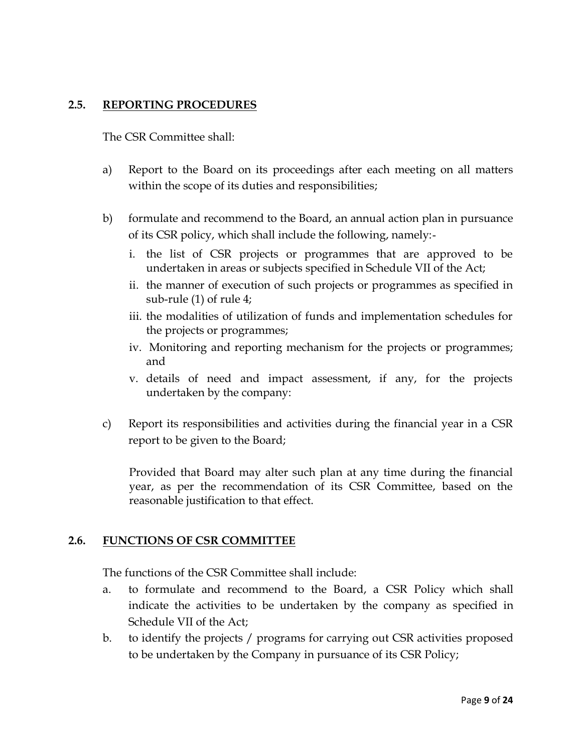## **2.5. REPORTING PROCEDURES**

The CSR Committee shall:

- a) Report to the Board on its proceedings after each meeting on all matters within the scope of its duties and responsibilities;
- b) formulate and recommend to the Board, an annual action plan in pursuance of its CSR policy, which shall include the following, namely:‐
	- i. the list of CSR projects or programmes that are approved to be undertaken in areas or subjects specified in Schedule VII of the Act;
	- ii. the manner of execution of such projects or programmes as specified in sub-rule (1) of rule 4;
	- iii. the modalities of utilization of funds and implementation schedules for the projects or programmes;
	- iv. Monitoring and reporting mechanism for the projects or programmes; and
	- v. details of need and impact assessment, if any, for the projects undertaken by the company:
- c) Report its responsibilities and activities during the financial year in a CSR report to be given to the Board;

Provided that Board may alter such plan at any time during the financial year, as per the recommendation of its CSR Committee, based on the reasonable justification to that effect.

## **2.6. FUNCTIONS OF CSR COMMITTEE**

The functions of the CSR Committee shall include:

- a. to formulate and recommend to the Board, a CSR Policy which shall indicate the activities to be undertaken by the company as specified in Schedule VII of the Act;
- b. to identify the projects / programs for carrying out CSR activities proposed to be undertaken by the Company in pursuance of its CSR Policy;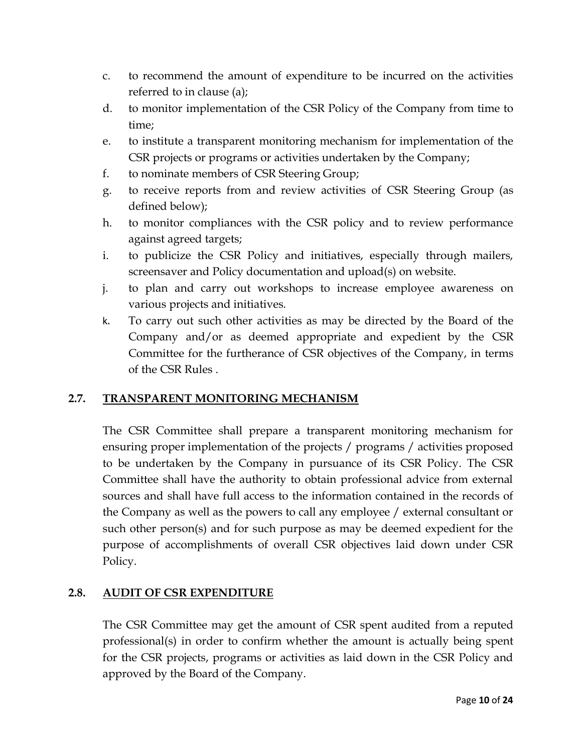- c. to recommend the amount of expenditure to be incurred on the activities referred to in clause (a);
- d. to monitor implementation of the CSR Policy of the Company from time to time;
- e. to institute a transparent monitoring mechanism for implementation of the CSR projects or programs or activities undertaken by the Company;
- f. to nominate members of CSR Steering Group;
- g. to receive reports from and review activities of CSR Steering Group (as defined below);
- h. to monitor compliances with the CSR policy and to review performance against agreed targets;
- i. to publicize the CSR Policy and initiatives, especially through mailers, screensaver and Policy documentation and upload(s) on website.
- j. to plan and carry out workshops to increase employee awareness on various projects and initiatives.
- k. To carry out such other activities as may be directed by the Board of the Company and/or as deemed appropriate and expedient by the CSR Committee for the furtherance of CSR objectives of the Company, in terms of the CSR Rules .

## **2.7. TRANSPARENT MONITORING MECHANISM**

The CSR Committee shall prepare a transparent monitoring mechanism for ensuring proper implementation of the projects / programs / activities proposed to be undertaken by the Company in pursuance of its CSR Policy. The CSR Committee shall have the authority to obtain professional advice from external sources and shall have full access to the information contained in the records of the Company as well as the powers to call any employee / external consultant or such other person(s) and for such purpose as may be deemed expedient for the purpose of accomplishments of overall CSR objectives laid down under CSR Policy.

## **2.8. AUDIT OF CSR EXPENDITURE**

The CSR Committee may get the amount of CSR spent audited from a reputed professional(s) in order to confirm whether the amount is actually being spent for the CSR projects, programs or activities as laid down in the CSR Policy and approved by the Board of the Company.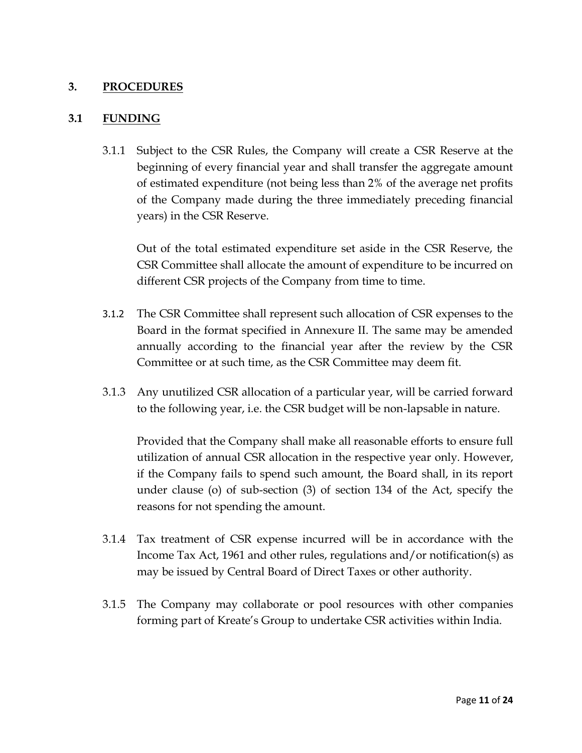## **3. PROCEDURES**

#### **3.1 FUNDING**

3.1.1 Subject to the CSR Rules, the Company will create a CSR Reserve at the beginning of every financial year and shall transfer the aggregate amount of estimated expenditure (not being less than 2% of the average net profits of the Company made during the three immediately preceding financial years) in the CSR Reserve.

Out of the total estimated expenditure set aside in the CSR Reserve, the CSR Committee shall allocate the amount of expenditure to be incurred on different CSR projects of the Company from time to time.

- 3.1.2 The CSR Committee shall represent such allocation of CSR expenses to the Board in the format specified in Annexure II. The same may be amended annually according to the financial year after the review by the CSR Committee or at such time, as the CSR Committee may deem fit.
- 3.1.3 Any unutilized CSR allocation of a particular year, will be carried forward to the following year, i.e. the CSR budget will be non-lapsable in nature.

Provided that the Company shall make all reasonable efforts to ensure full utilization of annual CSR allocation in the respective year only. However, if the Company fails to spend such amount, the Board shall, in its report under clause (o) of sub-section (3) of section 134 of the Act, specify the reasons for not spending the amount.

- 3.1.4 Tax treatment of CSR expense incurred will be in accordance with the Income Tax Act, 1961 and other rules, regulations and/or notification(s) as may be issued by Central Board of Direct Taxes or other authority.
- 3.1.5 The Company may collaborate or pool resources with other companies forming part of Kreate's Group to undertake CSR activities within India.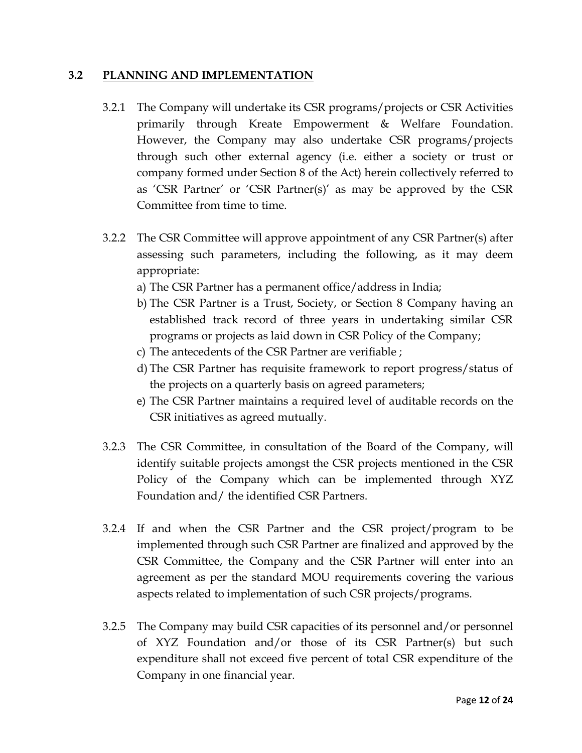#### **3.2 PLANNING AND IMPLEMENTATION**

- 3.2.1 The Company will undertake its CSR programs/projects or CSR Activities primarily through Kreate Empowerment & Welfare Foundation. However, the Company may also undertake CSR programs/projects through such other external agency (i.e. either a society or trust or company formed under Section 8 of the Act) herein collectively referred to as 'CSR Partner' or 'CSR Partner(s)' as may be approved by the CSR Committee from time to time.
- 3.2.2 The CSR Committee will approve appointment of any CSR Partner(s) after assessing such parameters, including the following, as it may deem appropriate:
	- a) The CSR Partner has a permanent office/address in India;
	- b) The CSR Partner is a Trust, Society, or Section 8 Company having an established track record of three years in undertaking similar CSR programs or projects as laid down in CSR Policy of the Company;
	- c) The antecedents of the CSR Partner are verifiable ;
	- d) The CSR Partner has requisite framework to report progress/status of the projects on a quarterly basis on agreed parameters;
	- e) The CSR Partner maintains a required level of auditable records on the CSR initiatives as agreed mutually.
- 3.2.3 The CSR Committee, in consultation of the Board of the Company, will identify suitable projects amongst the CSR projects mentioned in the CSR Policy of the Company which can be implemented through XYZ Foundation and/ the identified CSR Partners.
- 3.2.4 If and when the CSR Partner and the CSR project/program to be implemented through such CSR Partner are finalized and approved by the CSR Committee, the Company and the CSR Partner will enter into an agreement as per the standard MOU requirements covering the various aspects related to implementation of such CSR projects/programs.
- 3.2.5 The Company may build CSR capacities of its personnel and/or personnel of XYZ Foundation and/or those of its CSR Partner(s) but such expenditure shall not exceed five percent of total CSR expenditure of the Company in one financial year.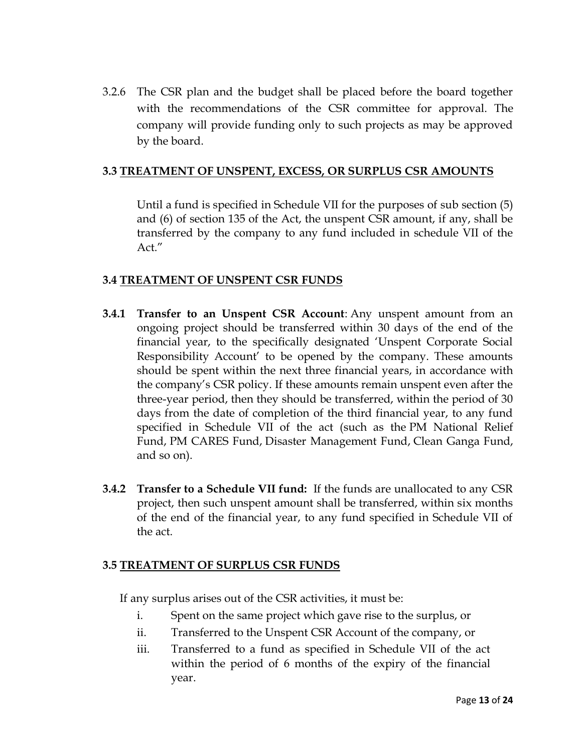3.2.6 The CSR plan and the budget shall be placed before the board together with the recommendations of the CSR committee for approval. The company will provide funding only to such projects as may be approved by the board.

#### **3.3 TREATMENT OF UNSPENT, EXCESS, OR SURPLUS CSR AMOUNTS**

Until a fund is specified in Schedule VII for the purposes of sub section (5) and (6) of section 135 of the Act, the unspent CSR amount, if any, shall be transferred by the company to any fund included in schedule VII of the Act."

## **3.4 TREATMENT OF UNSPENT CSR FUNDS**

- **3.4.1 Transfer to an Unspent CSR Account**: Any unspent amount from an ongoing project should be transferred within 30 days of the end of the financial year, to the specifically designated 'Unspent Corporate Social Responsibility Account' to be opened by the company. These amounts should be spent within the next three financial years, in accordance with the company's CSR policy. If these amounts remain unspent even after the three-year period, then they should be transferred, within the period of 30 days from the date of completion of the third financial year, to any fund specified in Schedule VII of the act (such as the [PM National Relief](https://pmnrf.gov.in/en/)  [Fund,](https://pmnrf.gov.in/en/) [PM CARES Fund,](https://www.pmcares.gov.in/en/) [Disaster Management Fund,](http://www.ndrf.gov.in/) [Clean Ganga Fund,](https://nmcg.nic.in/cleangangafund/index.html) and so on).
- **3.4.2 Transfer to a Schedule VII fund:** If the funds are unallocated to any CSR project, then such unspent amount shall be transferred, within six months of the end of the financial year, to any fund specified in Schedule VII of the act.

## **3.5 TREATMENT OF SURPLUS CSR FUNDS**

If any surplus arises out of the CSR activities, it must be:

- i. Spent on the same project which gave rise to the surplus, or
- ii. Transferred to the Unspent CSR Account of the company, or
- iii. Transferred to a fund as specified in Schedule VII of the act within the period of 6 months of the expiry of the financial year.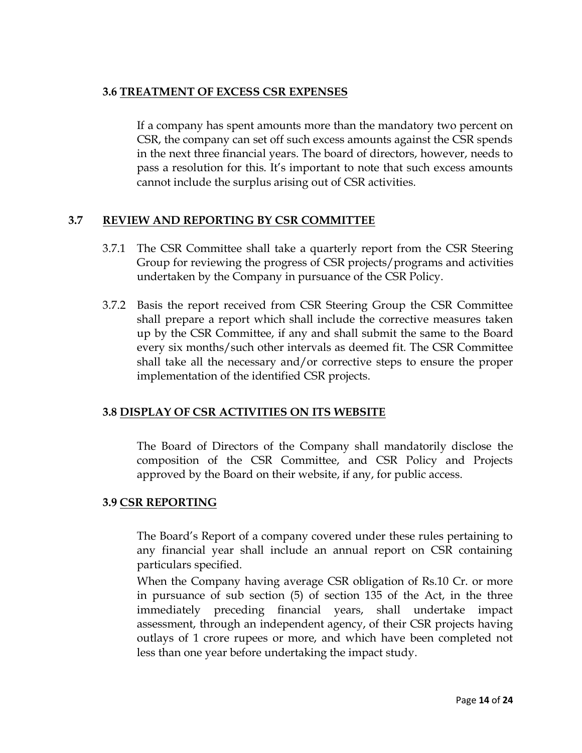## **3.6 TREATMENT OF EXCESS CSR EXPENSES**

If a company has spent amounts more than the mandatory two percent on CSR, the company can set off such excess amounts against the CSR spends in the next three financial years. The board of directors, however, needs to pass a resolution for this. It's important to note that such excess amounts cannot include the surplus arising out of CSR activities.

## **3.7 REVIEW AND REPORTING BY CSR COMMITTEE**

- 3.7.1 The CSR Committee shall take a quarterly report from the CSR Steering Group for reviewing the progress of CSR projects/programs and activities undertaken by the Company in pursuance of the CSR Policy.
- 3.7.2 Basis the report received from CSR Steering Group the CSR Committee shall prepare a report which shall include the corrective measures taken up by the CSR Committee, if any and shall submit the same to the Board every six months/such other intervals as deemed fit. The CSR Committee shall take all the necessary and/or corrective steps to ensure the proper implementation of the identified CSR projects.

## **3.8 DISPLAY OF CSR ACTIVITIES ON ITS WEBSITE**

The Board of Directors of the Company shall mandatorily disclose the composition of the CSR Committee, and CSR Policy and Projects approved by the Board on their website, if any, for public access.

## **3.9 CSR REPORTING**

The Board's Report of a company covered under these rules pertaining to any financial year shall include an annual report on CSR containing particulars specified.

When the Company having average CSR obligation of Rs.10 Cr. or more in pursuance of sub section (5) of section 135 of the Act, in the three immediately preceding financial years, shall undertake impact assessment, through an independent agency, of their CSR projects having outlays of 1 crore rupees or more, and which have been completed not less than one year before undertaking the impact study.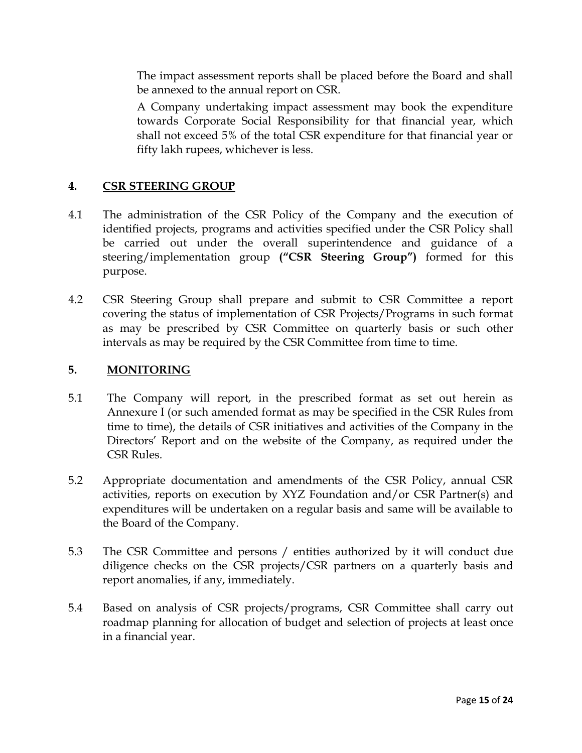The impact assessment reports shall be placed before the Board and shall be annexed to the annual report on CSR.

A Company undertaking impact assessment may book the expenditure towards Corporate Social Responsibility for that financial year, which shall not exceed 5% of the total CSR expenditure for that financial year or fifty lakh rupees, whichever is less.

## **4. CSR STEERING GROUP**

- 4.1 The administration of the CSR Policy of the Company and the execution of identified projects, programs and activities specified under the CSR Policy shall be carried out under the overall superintendence and guidance of a steering/implementation group **("CSR Steering Group")** formed for this purpose.
- 4.2 CSR Steering Group shall prepare and submit to CSR Committee a report covering the status of implementation of CSR Projects/Programs in such format as may be prescribed by CSR Committee on quarterly basis or such other intervals as may be required by the CSR Committee from time to time.

## **5. MONITORING**

- 5.1 The Company will report, in the prescribed format as set out herein as Annexure I (or such amended format as may be specified in the CSR Rules from time to time), the details of CSR initiatives and activities of the Company in the Directors' Report and on the website of the Company, as required under the CSR Rules.
- 5.2 Appropriate documentation and amendments of the CSR Policy, annual CSR activities, reports on execution by XYZ Foundation and/or CSR Partner(s) and expenditures will be undertaken on a regular basis and same will be available to the Board of the Company.
- 5.3 The CSR Committee and persons / entities authorized by it will conduct due diligence checks on the CSR projects/CSR partners on a quarterly basis and report anomalies, if any, immediately.
- 5.4 Based on analysis of CSR projects/programs, CSR Committee shall carry out roadmap planning for allocation of budget and selection of projects at least once in a financial year.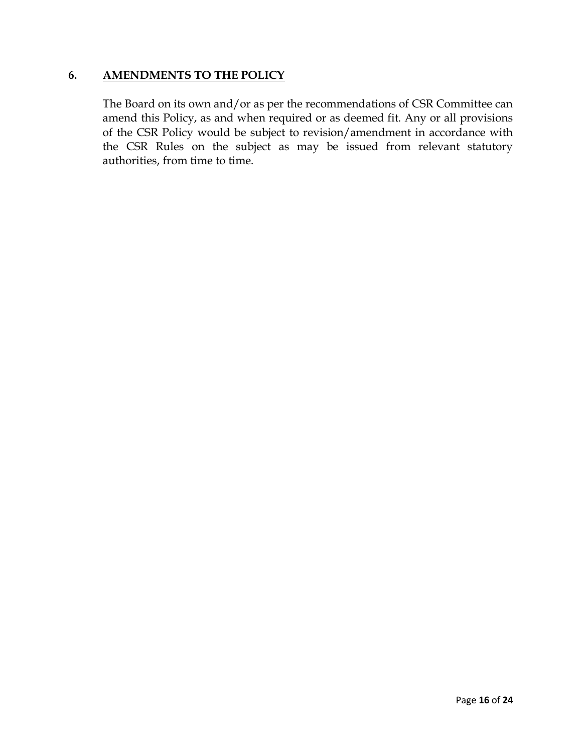#### **6. AMENDMENTS TO THE POLICY**

The Board on its own and/or as per the recommendations of CSR Committee can amend this Policy, as and when required or as deemed fit. Any or all provisions of the CSR Policy would be subject to revision/amendment in accordance with the CSR Rules on the subject as may be issued from relevant statutory authorities, from time to time.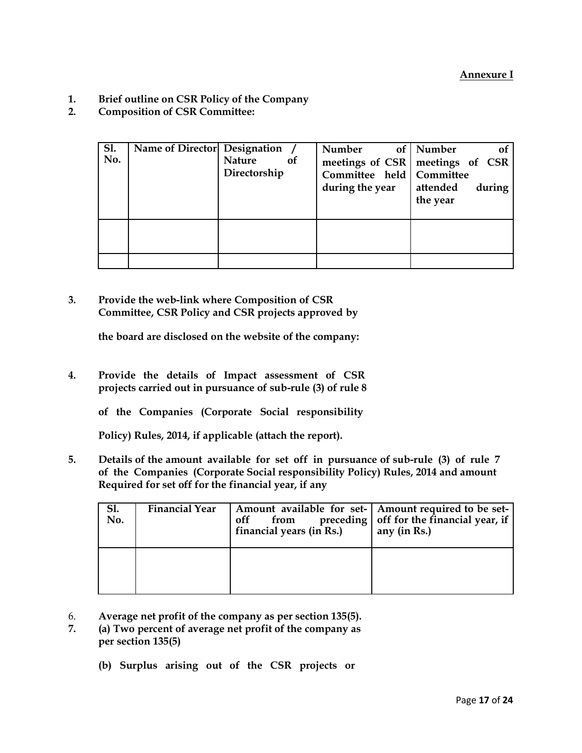- **1. Brief outline on CSR Policy of the Company**
- **2. Composition of CSR Committee:**

| <b>Sl.</b><br>No. | Name of Director Designation | <b>Nature</b><br>Directorship | of | Number<br>meetings of CSR meetings of CSR<br>Committee held   Committee<br>during the year | of   Number<br>attended<br>the year | of<br>during |
|-------------------|------------------------------|-------------------------------|----|--------------------------------------------------------------------------------------------|-------------------------------------|--------------|
|                   |                              |                               |    |                                                                                            |                                     |              |

**3. Provide the web-link where Composition of CSR Committee, CSR Policy and CSR projects approved by** 

**the board are disclosed on the website of the company:**

- **4. Provide the details of Impact assessment of CSR projects carried out in pursuance of sub-rule (3) of rule 8** 
	- **of the Companies (Corporate Social responsibility**

**Policy) Rules, 2014, if applicable (attach the report).**

**5. Details of the amount available for set off in pursuance of sub-rule (3) of rule 7 of the Companies (Corporate Social responsibility Policy) Rules, 2014 and amount Required for set off for the financial year, if any**

| Sl.<br>No. | <b>Financial Year</b> | off<br>from<br>financial years (in Rs.) | Amount available for set-   Amount required to be set-<br>preceding   off for the financial year, if<br>any (in Rs.) |
|------------|-----------------------|-----------------------------------------|----------------------------------------------------------------------------------------------------------------------|
|            |                       |                                         |                                                                                                                      |

- 6. **Average net profit of the company as per section 135(5).**
- **7. (a) Two percent of average net profit of the company as per section 135(5)** 
	- **(b) Surplus arising out of the CSR projects or**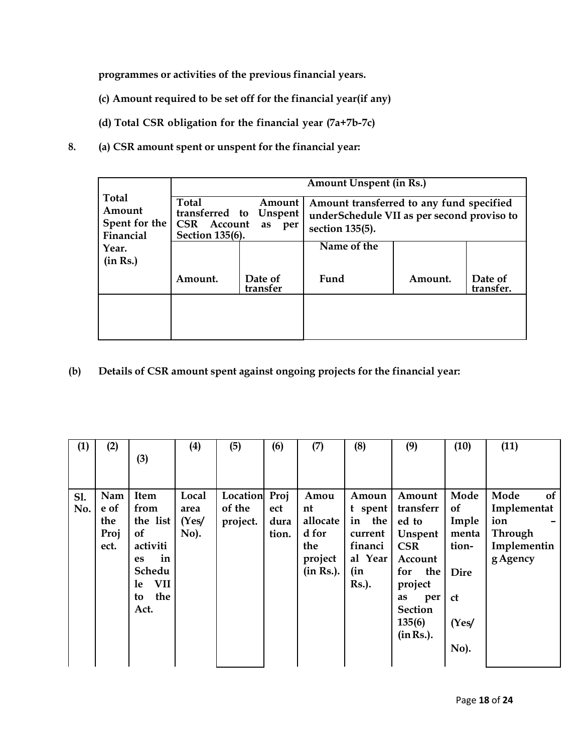**programmes or activities of the previous financial years.**

- **(c) Amount required to be set off for the financial year(if any)**
- **(d) Total CSR obligation for the financial year (7a+7b-7c)**
- **8. (a) CSR amount spent or unspent for the financial year:**

|                                                      | <b>Amount Unspent (in Rs.)</b>                                                     |                     |                                                                                                           |         |                      |  |  |  |
|------------------------------------------------------|------------------------------------------------------------------------------------|---------------------|-----------------------------------------------------------------------------------------------------------|---------|----------------------|--|--|--|
| <b>Total</b><br>Amount<br>Spent for the<br>Financial | <b>Total</b><br>transferred to Unspent<br><b>CSR</b><br>Account<br>Section 135(6). | Amount<br>as<br>per | Amount transferred to any fund specified<br>underSchedule VII as per second proviso to<br>section 135(5). |         |                      |  |  |  |
| Year.                                                |                                                                                    |                     | Name of the                                                                                               |         |                      |  |  |  |
| (in Rs.)                                             |                                                                                    |                     |                                                                                                           |         |                      |  |  |  |
|                                                      | Amount.                                                                            | Date of<br>transfer | Fund                                                                                                      | Amount. | Date of<br>transfer. |  |  |  |
|                                                      |                                                                                    |                     |                                                                                                           |         |                      |  |  |  |
|                                                      |                                                                                    |                     |                                                                                                           |         |                      |  |  |  |

**(b) Details of CSR amount spent against ongoing projects for the financial year:**

| (1) | (2)  |                  | (4)     | (5)      | (6)   | (7)       | (8)           | (9)            | (10)          | (11)              |
|-----|------|------------------|---------|----------|-------|-----------|---------------|----------------|---------------|-------------------|
|     |      | (3)              |         |          |       |           |               |                |               |                   |
|     |      |                  |         |          |       |           |               |                |               |                   |
|     |      |                  |         |          |       |           |               |                |               |                   |
| S1. | Nam  | Item             | Local   | Location | Proj  | Amou      | Amoun         | Amount         | Mode          | Mode<br><b>of</b> |
| No. | e of | from             | area    | of the   | ect   | nt        | t spent       | transferr      | of            | Implementat       |
|     | the  | the list         | (Yes/   | project. | dura  | allocate  | the<br>in     | ed to          | Imple         | ion               |
|     | Proj | <b>of</b>        | $No$ ). |          | tion. | d for     | current       | Unspent        | menta         | <b>Through</b>    |
|     | ect. | activiti         |         |          |       | the       | financi       | <b>CSR</b>     | tion-         | Implementin       |
|     |      | in<br><b>es</b>  |         |          |       | project   | al Year       | Account        |               | g Agency          |
|     |      | Schedu           |         |          |       | (in Rs.). | (in           | for<br>the     | <b>Dire</b>   |                   |
|     |      | <b>VII</b><br>le |         |          |       |           | <b>Rs.</b> ). | project        |               |                   |
|     |      | the<br>to        |         |          |       |           |               | as<br>per      | <sub>ct</sub> |                   |
|     |      | Act.             |         |          |       |           |               | <b>Section</b> |               |                   |
|     |      |                  |         |          |       |           |               | 135(6)         | (Yes)         |                   |
|     |      |                  |         |          |       |           |               | (in Rs.).      |               |                   |
|     |      |                  |         |          |       |           |               |                | No).          |                   |
|     |      |                  |         |          |       |           |               |                |               |                   |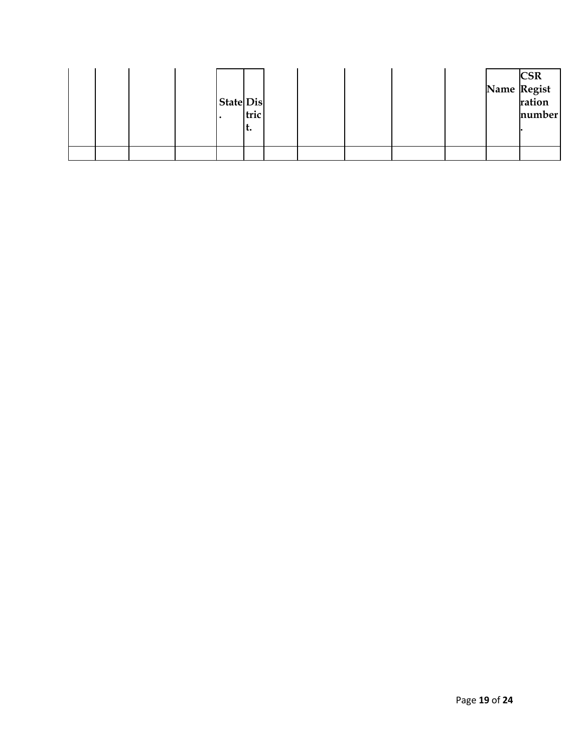|  |  | <b>State Dis</b> | tric<br>ι. |  |  |  | <b>CSR</b><br>Name Regist<br>ration<br>number |
|--|--|------------------|------------|--|--|--|-----------------------------------------------|
|  |  |                  |            |  |  |  |                                               |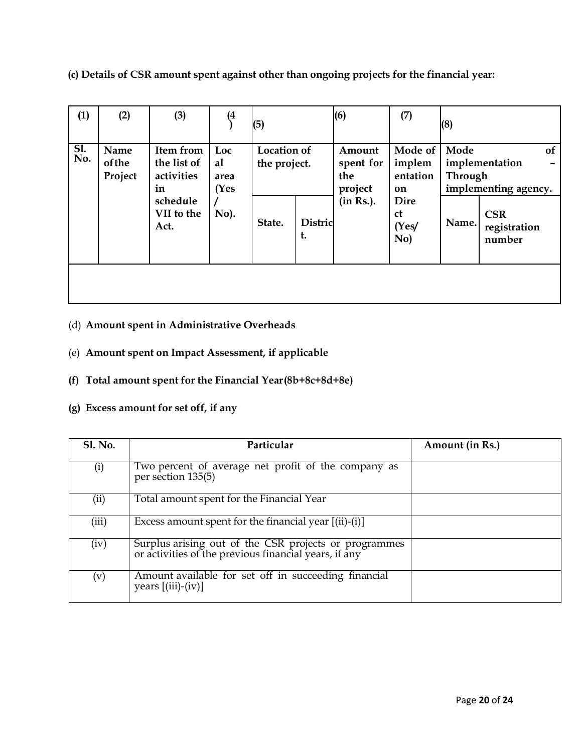**(c) Details of CSR amount spent against other than ongoing projects for the financial year:**

| (1)        | (2)                       | (3)                                                                            | (4)                               | (5)                                          |                      | (6)                                                | (7)                                                                                 | (8)                             |                                                                                             |
|------------|---------------------------|--------------------------------------------------------------------------------|-----------------------------------|----------------------------------------------|----------------------|----------------------------------------------------|-------------------------------------------------------------------------------------|---------------------------------|---------------------------------------------------------------------------------------------|
| SI.<br>No. | Name<br>of the<br>Project | Item from<br>the list of<br>activities<br>in<br>schedule<br>VII to the<br>Act. | Loc<br>al<br>area<br>(Yes<br>No). | <b>Location of</b><br>the project.<br>State. | <b>Distric</b><br>t. | Amount<br>spent for<br>the<br>project<br>(in Rs.). | Mode of<br>implem<br>entation<br>on<br><b>Dire</b><br><sub>ct</sub><br>(Yes/<br>No) | Mode<br><b>Through</b><br>Name. | <b>of</b><br>implementation<br>implementing agency.<br><b>CSR</b><br>registration<br>number |
|            |                           |                                                                                |                                   |                                              |                      |                                                    |                                                                                     |                                 |                                                                                             |

## (d) **Amount spent in Administrative Overheads**

- (e) **Amount spent on Impact Assessment, if applicable**
- **(f) Total amount spent for the Financial Year(8b+8c+8d+8e)**
- **(g) Excess amount for set off, if any**

| <b>Sl. No.</b> | Particular                                                                                                     | Amount (in Rs.) |
|----------------|----------------------------------------------------------------------------------------------------------------|-----------------|
| (i)            | Two percent of average net profit of the company as<br>per section 135(5)                                      |                 |
| (ii)           | Total amount spent for the Financial Year                                                                      |                 |
| (iii)          | Excess amount spent for the financial year $[(ii)-(i)]$                                                        |                 |
| (iv)           | Surplus arising out of the CSR projects or programmes<br>or activities of the previous financial years, if any |                 |
| (v)            | Amount available for set off in succeeding financial<br>years $[(iii)-(iv)]$                                   |                 |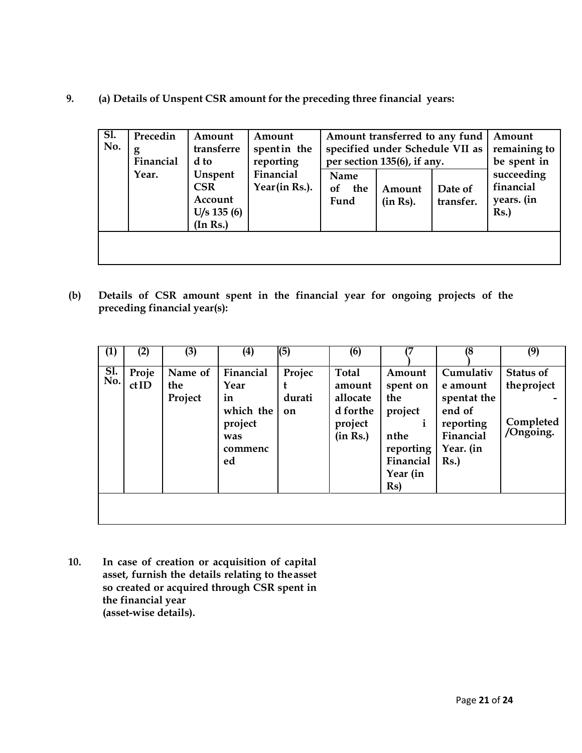**9. (a) Details of Unspent CSR amount for the preceding three financial years:**

| SI.<br>No. | Precedin<br>g<br>Financial | Amount<br>transferre<br>d to                                  | Amount<br>spent in the<br>reporting |                           | Amount transferred to any fund<br>specified under Schedule VII as<br>per section 135(6), if any. |                      | Amount<br>remaining to<br>be spent in        |
|------------|----------------------------|---------------------------------------------------------------|-------------------------------------|---------------------------|--------------------------------------------------------------------------------------------------|----------------------|----------------------------------------------|
|            | Year.                      | Unspent<br><b>CSR</b><br>Account<br>$U/s$ 135 (6)<br>(In Rs.) | Financial<br>Year(in Rs.).          | Name<br>оf<br>the<br>Fund | Amount<br>(in Rs).                                                                               | Date of<br>transfer. | succeeding<br>financial<br>years. (in<br>Rs. |
|            |                            |                                                               |                                     |                           |                                                                                                  |                      |                                              |

**(b) Details of CSR amount spent in the financial year for ongoing projects of the preceding financial year(s):**

|            |               |                           |                                                                         |                        |                                                                       |                                                                                                           | 18                                                                                           |                                                    |
|------------|---------------|---------------------------|-------------------------------------------------------------------------|------------------------|-----------------------------------------------------------------------|-----------------------------------------------------------------------------------------------------------|----------------------------------------------------------------------------------------------|----------------------------------------------------|
| (1)        | (2)           | (3)                       | $\left(4\right)$                                                        | (5)                    | (6)                                                                   |                                                                                                           |                                                                                              | (9)                                                |
| Sl.<br>No. | Proje<br>ctID | Name of<br>the<br>Project | Financial<br>Year<br>in<br>which the<br>project<br>was<br>commenc<br>ed | Projec<br>durati<br>on | <b>Total</b><br>amount<br>allocate<br>d forthe<br>project<br>(in Rs.) | Amount<br>spent on<br>the<br>project<br>nthe<br>reporting<br>Financial<br>Year (in<br>$\operatorname{Rs}$ | Cumulativ<br>e amount<br>spentat the<br>end of<br>reporting<br>Financial<br>Year. (in<br>Rs. | Status of<br>the project<br>Completed<br>/Ongoing. |
|            |               |                           |                                                                         |                        |                                                                       |                                                                                                           |                                                                                              |                                                    |
|            |               |                           |                                                                         |                        |                                                                       |                                                                                                           |                                                                                              |                                                    |

**10. In case of creation or acquisition of capital asset, furnish the details relating to theasset so created or acquired through CSR spent in the financial year (asset-wise details).**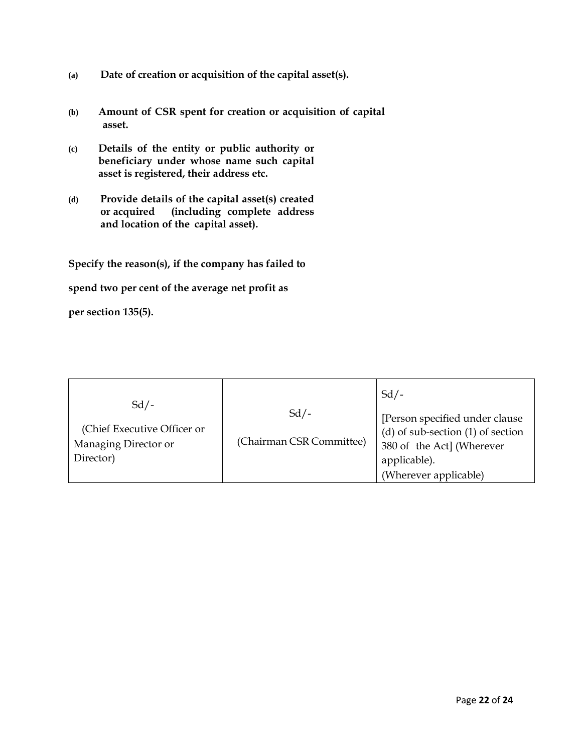- **(a) Date of creation or acquisition of the capital asset(s).**
- **(b) Amount of CSR spent for creation or acquisition of capital asset.**
- **(c) Details of the entity or public authority or beneficiary under whose name such capital asset is registered, their address etc.**
- **(d) Provide details of the capital asset(s) created or acquired (including complete address and location of the capital asset).**

**Specify the reason(s), if the company has failed to** 

**spend two per cent of the average net profit as** 

**per section 135(5).**

| Director)<br>applicable).<br>(Wherever applicable) | $Sd$ /-<br>(Chief Executive Officer or<br>Managing Director or | $Sd$ /-<br>(Chairman CSR Committee) | $Sd$ /-<br>[Person specified under clause]<br>$(d)$ of sub-section $(1)$ of section<br>380 of the Act] (Wherever |
|----------------------------------------------------|----------------------------------------------------------------|-------------------------------------|------------------------------------------------------------------------------------------------------------------|
|----------------------------------------------------|----------------------------------------------------------------|-------------------------------------|------------------------------------------------------------------------------------------------------------------|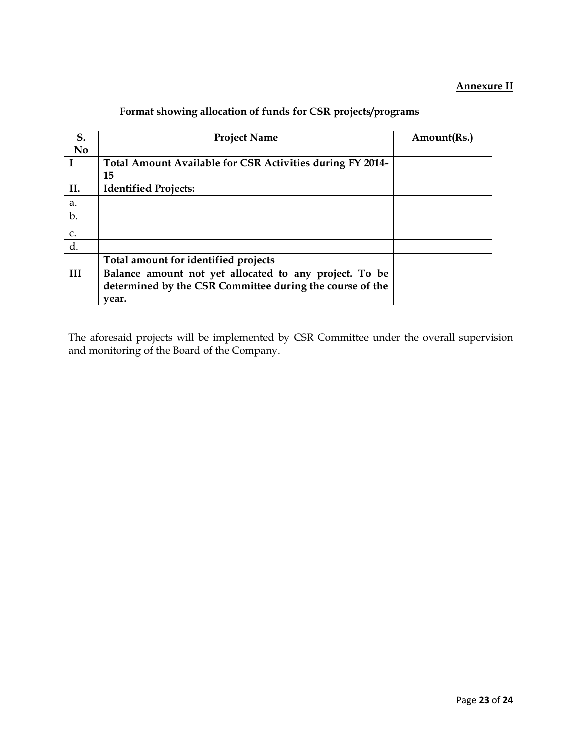## **Annexure II**

| S.          | <b>Project Name</b>                                       | Amount(Rs.) |
|-------------|-----------------------------------------------------------|-------------|
| <b>No</b>   |                                                           |             |
| $\mathbf I$ | Total Amount Available for CSR Activities during FY 2014- |             |
|             | 15                                                        |             |
| II.         | <b>Identified Projects:</b>                               |             |
| a.          |                                                           |             |
| b.          |                                                           |             |
| C.          |                                                           |             |
| d.          |                                                           |             |
|             | Total amount for identified projects                      |             |
| III         | Balance amount not yet allocated to any project. To be    |             |
|             | determined by the CSR Committee during the course of the  |             |
|             | vear.                                                     |             |

## **Format showing allocation of funds for CSR projects/programs**

The aforesaid projects will be implemented by CSR Committee under the overall supervision and monitoring of the Board of the Company.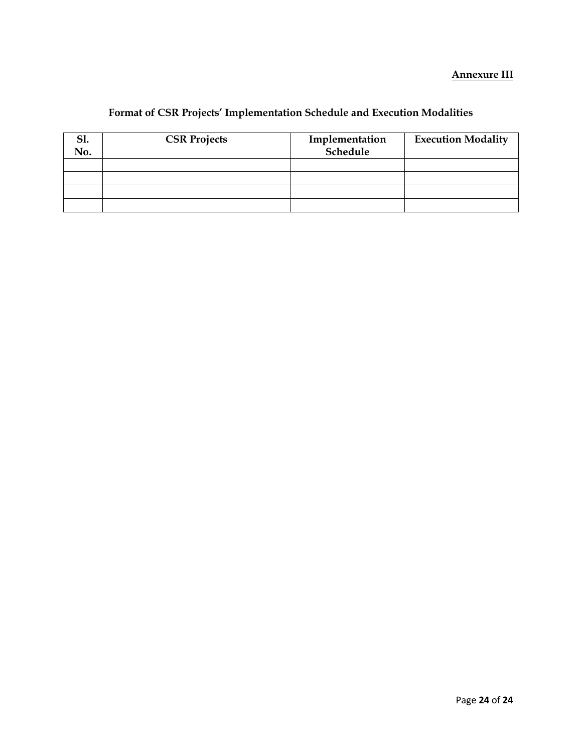## **Annexure III**

# **Format of CSR Projects' Implementation Schedule and Execution Modalities**

| <b>S1.</b><br>No. | <b>CSR Projects</b> | Implementation<br>Schedule | <b>Execution Modality</b> |  |  |
|-------------------|---------------------|----------------------------|---------------------------|--|--|
|                   |                     |                            |                           |  |  |
|                   |                     |                            |                           |  |  |
|                   |                     |                            |                           |  |  |
|                   |                     |                            |                           |  |  |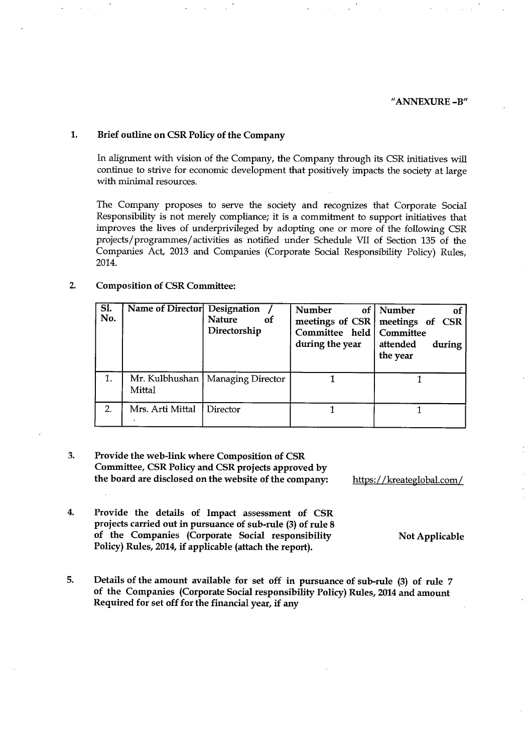#### 1. Brief outline on CSR Policy of the Company

In alignment with vision of the Company, the Company through its CSR initiatives will continue to strive for economic development that positively impacts the society at large with minimal resources.

The Company proposes to serve the society and recognizes that Corporate Social Responsibility is not merely compliance; it is a commitment to support initiatives that improves the lives of underprivileged by adopting one or more of the following CSR projects/programmes/activities as notified under Schedule VII of Section 135 of the Companies Act, 2013 and Companies (Corporate Social Responsibility Policy) Rules, 2014.

#### $2.$ **Composition of CSR Committee:**

| SI.<br>No. | Name of Director   Designation            | <b>Nature</b><br>- of<br>Directorship | Number<br>of<br>meetings of CSR<br>Committee held<br>during the year | Number<br>-of<br>meetings of CSR<br>Committee<br>attended<br>during<br>the year |
|------------|-------------------------------------------|---------------------------------------|----------------------------------------------------------------------|---------------------------------------------------------------------------------|
| 1.         | Mr. Kulbhushan<br>$\operatorname{Mittal}$ | Managing Director                     |                                                                      |                                                                                 |
| 2.         | Mrs. Arti MittaI                          | Director                              |                                                                      |                                                                                 |

- 3. Provide the web-link where Composition of CSR Committee, CSR Policy and CSR projects approved by the board are disclosed on the website of the company:
- 4. Provide the details of Impact assessment of CSR projects carried out in pursuance of sub-rule (3) of rule 8 of the Companies (Corporate Social responsibility Policy) Rules, 2014, if applicable (attach the report).
- 5. Details of the amount available for set off in pursuance of sub-rule (3) of rule 7 of the Companies (Corporate Social responsibility Policy) Rules, 2014 and amount Required for set off for the financial year, if any

https://kreateglobal.com/

**Not Applicable**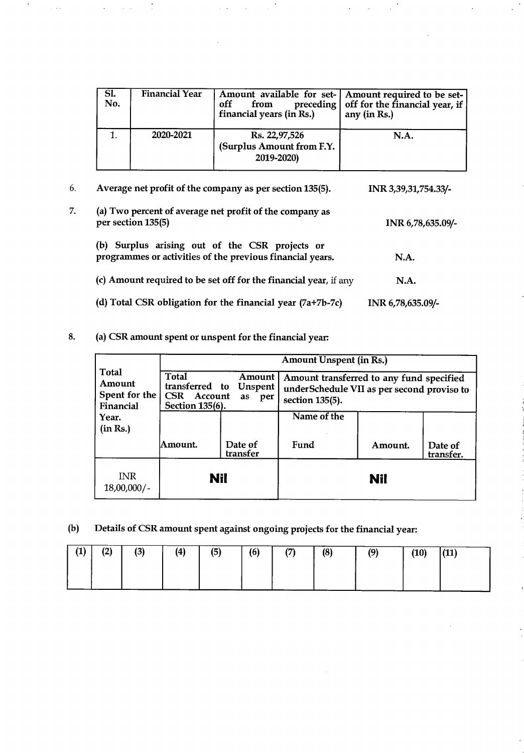| SI.<br>No. | Financial Year | off<br>preceding  <br>from<br>financial years (in Rs.)   | Amount available for set- Amount required to be set-<br>off for the financial year, if<br>any (in Rs.) |
|------------|----------------|----------------------------------------------------------|--------------------------------------------------------------------------------------------------------|
|            | 2020-2021      | Rs. 22,97,526<br>(Surplus Amount from F.Y.<br>2019-2020) | N.A.                                                                                                   |

| 6. | Average net profit of the company as per section 135(5).                                                    | INR 3,39,31,754.33/- |
|----|-------------------------------------------------------------------------------------------------------------|----------------------|
| 7. | (a) Two percent of average net profit of the company as<br>per section 135(5)                               | INR 6,78,635.09/-    |
|    | (b) Surplus arising out of the CSR projects or<br>programmes or activities of the previous financial years. | N.A.                 |
|    | (c) Amount required to be set off for the financial year, if any                                            | <b>N.A.</b>          |
|    | (d) Total CSR obligation for the financial year $(7a+7b-7c)$                                                | INR 6,78,635.09/-    |

8. (a) CSR amount spent or unspent for the financial year:

|                                               | <b>Amount Unspent (in Rs.)</b>                                                                               |  |                                                                                                           |     |  |  |  |  |  |  |
|-----------------------------------------------|--------------------------------------------------------------------------------------------------------------|--|-----------------------------------------------------------------------------------------------------------|-----|--|--|--|--|--|--|
| Total<br>Amount<br>Spent for the<br>Financial | <b>Total</b><br>Amount<br>transferred to<br>Unspent<br><b>CSR</b><br>Account<br>as<br>per<br>Section 135(6). |  | Amount transferred to any fund specified<br>underSchedule VII as per second proviso to<br>section 135(5). |     |  |  |  |  |  |  |
| Year.<br>(in Rs.)                             |                                                                                                              |  | Name of the                                                                                               |     |  |  |  |  |  |  |
|                                               | Date of<br>Amount.<br>transfer                                                                               |  | Fund<br>Amount.<br>Date of<br>transfer.                                                                   |     |  |  |  |  |  |  |
| <b>INR</b><br>$18,00,000/$ -                  | Nil                                                                                                          |  |                                                                                                           | Nil |  |  |  |  |  |  |

Details of CSR amount spent against ongoing projects for the financial year:  $(b)$ 

| (1) | (2) | (3) | (4) | (5) | (6) | (7) | (8) | (9) | (10) | (11) |
|-----|-----|-----|-----|-----|-----|-----|-----|-----|------|------|
|     |     |     |     |     |     |     |     |     |      |      |
|     |     |     |     |     |     |     |     |     |      |      |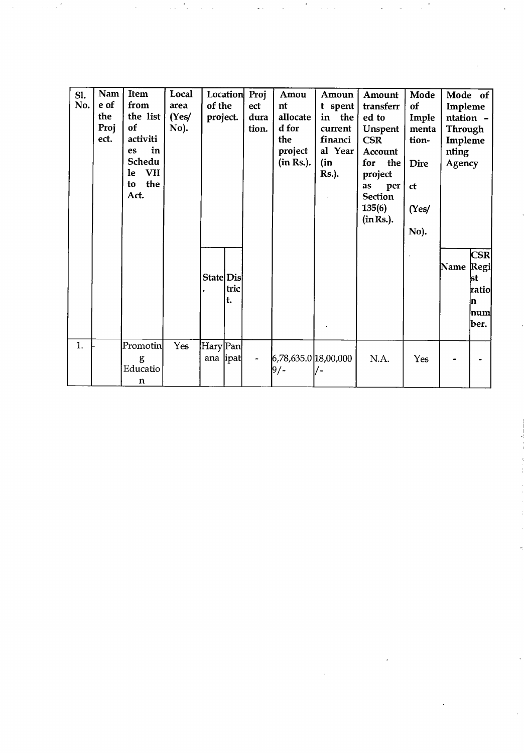| Sl.<br>No. | Nam<br>e of<br>the<br>Proj<br>ect. | Item<br>from<br>the list<br>of<br>activiti<br>in<br><b>es</b><br>Schedu<br><b>VII</b><br><b>le</b><br>the<br>to<br>Act. | Local<br>area<br>(Yes/<br>No). | of the<br>project.    |            | Location Proj<br>ect<br>dura<br>tion. | Amou<br>nt<br>allocate<br>d for<br>the<br>project<br>(in Rs.). | Amoun<br>t spent<br>in the<br>current<br>financi<br>al Year<br>(in<br><b>Rs.</b> ). | Amount<br>transferr<br>ed to<br>Unspent<br><b>CSR</b><br>Account<br>for the<br>project<br>as<br>per<br><b>Section</b><br>135(6) | Mode<br>of<br>Imple<br>menta<br>tion-<br><b>Dire</b><br>ct<br>(Yes) | Impleme<br>ntation -<br>Through<br>Impleme<br>nting<br>Agency | Mode of                                               |
|------------|------------------------------------|-------------------------------------------------------------------------------------------------------------------------|--------------------------------|-----------------------|------------|---------------------------------------|----------------------------------------------------------------|-------------------------------------------------------------------------------------|---------------------------------------------------------------------------------------------------------------------------------|---------------------------------------------------------------------|---------------------------------------------------------------|-------------------------------------------------------|
|            |                                    |                                                                                                                         |                                | State Dis             | tric<br>t. |                                       |                                                                |                                                                                     | (in Rs.).                                                                                                                       | No).                                                                | Name                                                          | CSR<br>Regi<br>lst<br>ratiol<br>In.<br>Inuml<br>lber. |
| 1.         |                                    | Promotin<br>g<br>Educatio<br>$\mathbf n$                                                                                | Yes                            | Hary Pan<br>ana  ipat |            |                                       | 6,78,635.0 18,00,000<br>9/-                                    |                                                                                     | N.A.                                                                                                                            | Yes                                                                 |                                                               |                                                       |

 $\sim 10^6$ 

 $\sim 10^{-1}$ 

 $\mathcal{A}^{\mathrm{c}}$  .

 $\mathcal{L}^{\mathcal{L}}$  , and the set of the set of the set of the set of the set of the set of the set of the set of the set of the set of the set of the set of the set of the set of the set of the set of the set of the set of t

 $\mathcal{L}_{\text{max}}$  and  $\mathcal{L}_{\text{max}}$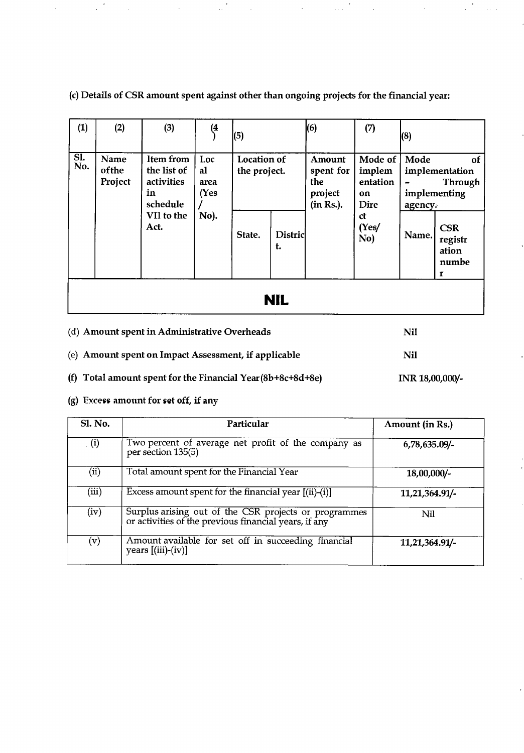(c) Details of CSR amount spent against other than ongoing projects for the financial year:

| (1)               | (2)                      | (3)                                                                            | (4                                | (5)                                   |               | (6)                                                | (7)                                                               | (8)                      |                                                                                                 |  |  |  |
|-------------------|--------------------------|--------------------------------------------------------------------------------|-----------------------------------|---------------------------------------|---------------|----------------------------------------------------|-------------------------------------------------------------------|--------------------------|-------------------------------------------------------------------------------------------------|--|--|--|
| <b>SI.</b><br>No. | Name<br>ofthe<br>Project | ltem from<br>the list of<br>activities<br>in<br>schedule<br>VII to the<br>Act. | Loc<br>al<br>area<br>(Yes<br>No). | Location of<br>the project.<br>State. | Distric<br>t. | Amount<br>spent for<br>the<br>project<br>(in Rs.). | Mode of<br>implem<br>entation<br>on<br>Dire<br>ct<br>(Yes/<br>No) | Mode<br>agency.<br>Name. | 0f<br>implementation<br>Through<br>implementing<br><b>CSR</b><br>registr<br>ation<br>numbe<br>r |  |  |  |
|                   | <b>NIL</b>               |                                                                                |                                   |                                       |               |                                                    |                                                                   |                          |                                                                                                 |  |  |  |

| (d) Amount spent in Administrative Overheads                  | Nil             |
|---------------------------------------------------------------|-----------------|
| (e) Amount spent on Impact Assessment, if applicable          | Nil             |
| (f) Total amount spent for the Financial Year $(8b+8c+8d+8e)$ | INR 18,00,000/- |

(g) Excess amount for set off, if any

| Sl. No.                  | Particular                                                                                                     | Amount (in Rs.) |
|--------------------------|----------------------------------------------------------------------------------------------------------------|-----------------|
| (i)                      | Two percent of average net profit of the company as<br>per section 135(5)                                      | 6,78,635.09/-   |
| $\overline{\text{(ii)}}$ | Total amount spent for the Financial Year                                                                      | 18,00,000/-     |
| (iii)                    | Excess amount spent for the financial year $[(ii)-(i)]$                                                        | 11,21,364.91/-  |
| (iv)                     | Surplus arising out of the CSR projects or programmes<br>or activities of the previous financial years, if any | Nil             |
| (v)                      | Amount available for set off in succeeding financial<br>years $[(iii)-(iv)]$                                   | 11,21,364.91/-  |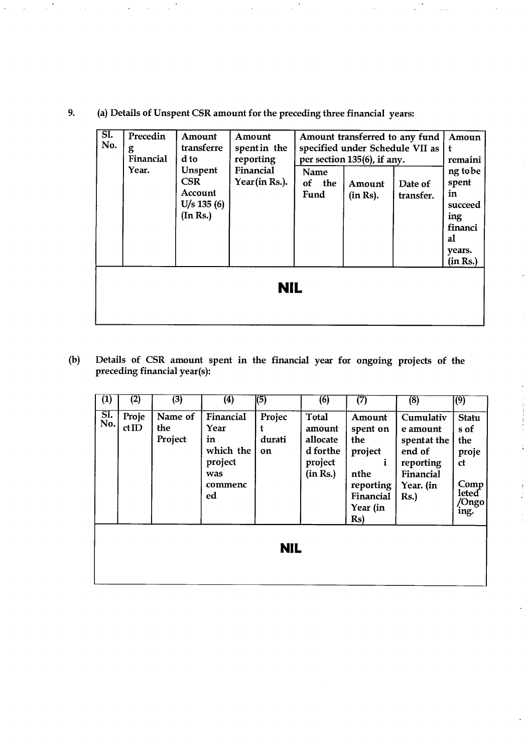(a) Details of Unspent CSR amount for the preceding three financial years: 9.

| SI.<br>No. | Precedin<br>g<br>Financial<br>Year. | Amount<br>transferre<br>d to<br>Unspent<br><b>CSR</b><br>Account<br>$U/s$ 135 (6)<br>(In Rs.) | Amount<br>spent in the<br>reporting<br>Financial<br>Year (in Rs.). | Name<br>of<br>Fund | the | Amount transferred to any fund<br>specified under Schedule VII as<br>per section 135(6), if any.<br>Amount<br>(in Rs). | Date of<br>transfer. | Amoun<br>t<br>remaini<br>ng tobe<br>spent<br>in<br>succeed<br>ing<br>financi<br>al<br>years.<br>(in Rs.) |
|------------|-------------------------------------|-----------------------------------------------------------------------------------------------|--------------------------------------------------------------------|--------------------|-----|------------------------------------------------------------------------------------------------------------------------|----------------------|----------------------------------------------------------------------------------------------------------|
|            |                                     |                                                                                               | <b>NIL</b>                                                         |                    |     |                                                                                                                        |                      |                                                                                                          |

 $(b)$ Details of CSR amount spent in the financial year for ongoing projects of the preceding financial year(s):

| $\overline{\textbf{(1)}}$ | (2)           | (3)                       | $\left( 4\right)$                                                       | (5)                    | (6)                                                                   | (7)                                                                                       | (8)                                                                                          | (9)                                                                                           |  |
|---------------------------|---------------|---------------------------|-------------------------------------------------------------------------|------------------------|-----------------------------------------------------------------------|-------------------------------------------------------------------------------------------|----------------------------------------------------------------------------------------------|-----------------------------------------------------------------------------------------------|--|
| SI.<br>No.                | Proje<br>ctID | Name of<br>the<br>Project | Financial<br>Year<br>in<br>which the<br>project<br>was<br>commenc<br>ed | Projec<br>durati<br>on | <b>Total</b><br>amount<br>allocate<br>d forthe<br>project<br>(in Rs.) | Amount<br>spent on<br>the<br>project<br>nthe<br>reporting<br>Financial<br>Year (in<br>Rs) | Cumulativ<br>e amount<br>spentat the<br>end of<br>reporting<br>Financial<br>Year. (in<br>Rs. | Statu<br>s of<br>the<br>proje<br><sub>ct</sub><br>Comp<br>leted <sup>-</sup><br>/Ongo<br>ing. |  |
| <b>NIL</b>                |               |                           |                                                                         |                        |                                                                       |                                                                                           |                                                                                              |                                                                                               |  |